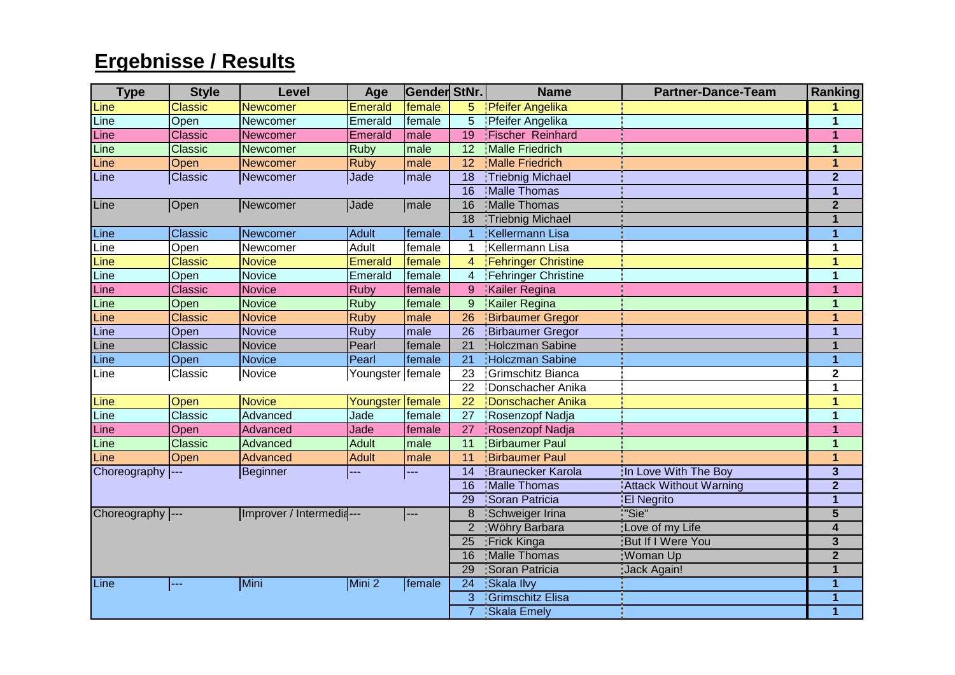## **Ergebnisse / Results**

| <b>Type</b>       | <b>Style</b>   | <b>Level</b>             | Age              | Gender StNr. |                 | <b>Name</b>                | <b>Partner-Dance-Team</b>     | <b>Ranking</b>          |
|-------------------|----------------|--------------------------|------------------|--------------|-----------------|----------------------------|-------------------------------|-------------------------|
| Line              | <b>Classic</b> | <b>Newcomer</b>          | <b>Emerald</b>   | female       | 5.              | <b>Pfeifer Angelika</b>    |                               |                         |
| Line              | Open           | Newcomer                 | Emerald          | female       | 5               | Pfeifer Angelika           |                               | 1                       |
| Line              | <b>Classic</b> | Newcomer                 | <b>Emerald</b>   | male         | 19              | <b>Fischer Reinhard</b>    |                               | $\mathbf{1}$            |
| Line              | <b>Classic</b> | Newcomer                 | Ruby             | male         | 12              | <b>Malle Friedrich</b>     |                               | $\overline{1}$          |
| Line              | Open           | <b>Newcomer</b>          | <b>Ruby</b>      | male         | 12              | <b>Malle Friedrich</b>     |                               | $\mathbf{1}$            |
| Line              | Classic        | Newcomer                 | Jade             | <b>male</b>  | 18              | <b>Triebnig Michael</b>    |                               | $\overline{2}$          |
|                   |                |                          |                  |              | $\overline{16}$ | Malle Thomas               |                               | $\overline{1}$          |
| Line              | Open           | Newcomer                 | Jade             | <b>male</b>  | 16              | <b>Malle Thomas</b>        |                               | $\overline{2}$          |
|                   |                |                          |                  |              | $\overline{18}$ | <b>Triebnig Michael</b>    |                               | $\mathbf{1}$            |
| Line              | Classic        | Newcomer                 | <b>Adult</b>     | female       |                 | Kellermann Lisa            |                               | 1                       |
| Line              | Open           | Newcomer                 | <b>Adult</b>     | female       |                 | Kellermann Lisa            |                               | $\overline{1}$          |
| Line              | <b>Classic</b> | <b>Novice</b>            | <b>Emerald</b>   | female       | $\overline{4}$  | <b>Fehringer Christine</b> |                               | $\overline{1}$          |
| Line              | Open           | <b>Novice</b>            | Emerald          | female       | $\overline{4}$  | Fehringer Christine        |                               | $\mathbf{1}$            |
| Line              | <b>Classic</b> | <b>Novice</b>            | <b>Ruby</b>      | female       | 9               | Kailer Regina              |                               | $\mathbf 1$             |
| Line              | Open           | <b>Novice</b>            | <b>Ruby</b>      | female       | 9               | Kailer Regina              |                               | 1                       |
| Line              | <b>Classic</b> | <b>Novice</b>            | <b>Ruby</b>      | male         | 26              | <b>Birbaumer Gregor</b>    |                               | 1                       |
| Line              | Open           | <b>Novice</b>            | <b>Ruby</b>      | male         | $\overline{26}$ | <b>Birbaumer Gregor</b>    |                               | 1                       |
| Line              | Classic        | <b>Novice</b>            | Pearl            | female       | $\overline{21}$ | Holczman Sabine            |                               | $\overline{1}$          |
| Line              | Open           | <b>Novice</b>            | Pearl            | female       | $\overline{21}$ | Holczman Sabine            |                               | $\overline{1}$          |
| Line              | Classic        | Novice                   | Youngster female |              | 23              | Grimschitz Bianca          |                               | $\mathbf 2$             |
|                   |                |                          |                  |              | 22              | Donschacher Anika          |                               | 1                       |
| Line              | Open           | <b>Novice</b>            | Youngster Female |              | 22              | Donschacher Anika          |                               | 1                       |
| Line              | Classic        | Advanced                 | Jade             | female       | 27              | Rosenzopf Nadja            |                               | $\mathbf{1}$            |
| Line              | Open           | Advanced                 | Jade             | female       | 27              | Rosenzopf Nadja            |                               | $\overline{1}$          |
| Line              | <b>Classic</b> | Advanced                 | <b>Adult</b>     | male         | 11              | <b>Birbaumer Paul</b>      |                               | $\mathbf{1}$            |
| Line              | Open           | <b>Advanced</b>          | <b>Adult</b>     | male         | 11              | <b>Birbaumer Paul</b>      |                               | 1                       |
| Choreography  --- |                | Beginner                 | ---              | ---          | 14              | <b>Braunecker Karola</b>   | In Love With The Boy          | $\overline{\mathbf{3}}$ |
|                   |                |                          |                  |              | 16              | Malle Thomas               | <b>Attack Without Warning</b> | $\overline{2}$          |
|                   |                |                          |                  |              | 29              | Soran Patricia             | <b>El Negrito</b>             | $\mathbf{1}$            |
| Choreography ---  |                | Improver / Intermedia--- |                  | ---          | 8               | Schweiger Irina            | "Sie"                         | $\overline{5}$          |
|                   |                |                          |                  |              | $\overline{2}$  | Wöhry Barbara              | Love of my Life               | $\overline{4}$          |
|                   |                |                          |                  |              | 25              | <b>Frick Kinga</b>         | <b>But If I Were You</b>      | $\overline{\mathbf{3}}$ |
|                   |                |                          |                  |              | 16              | Malle Thomas               | Woman Up                      | $\overline{2}$          |
|                   |                |                          |                  |              | 29              | Soran Patricia             | Jack Again!                   | 1                       |
| Line              | ---            | Mini                     | Mini 2           | female       | $\overline{24}$ | Skala Ilvy                 |                               | 1                       |
|                   |                |                          |                  |              | 3               | Grimschitz Elisa           |                               | 1                       |
|                   |                |                          |                  |              | $\overline{7}$  | Skala Emely                |                               | $\overline{1}$          |